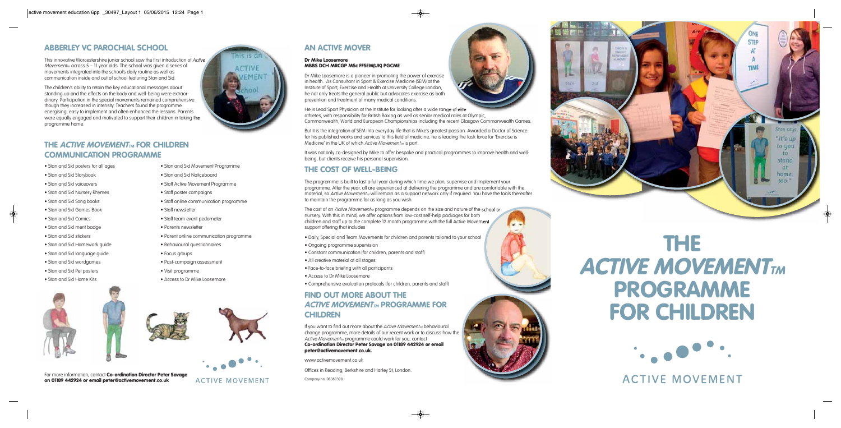

#### **Dr Mike Loosemore MBBS DCH MRCGP MSc FFSEM(UK) PGCME**

Dr Mike Loosemore is a pioneer in promoting the power of exercise in health. As Consultant in Sport & Exercise Medicine (SEM) at the Institute of Sport, Exercise and Health at University College London, he not only treats the general public but advocates exercise as both prevention and treatment of many medical conditions.

But it is the integration of SEM into everyday life that is Mike's greatest passion. Awarded a Doctor of Science for his published works and services to this field of medicine, he is leading the task force for 'Exercise is Medicine' in the UK of which Active Movement<sub>M</sub> is part.

He is Lead Sport Physician at the Institute for looking after a wide range of elite athletes, with responsibility for British Boxing as well as senior medical roles at Olympic, Commonwealth, World and European Championships including the recent Glasgow Commonwealth Games.

The cost of an Active Movement<sub>M</sub> programme depends on the size and nature of the school or nursery. With this in mind, we offer options from low-cost self-help packages for both children and staff up to the complete 12 month programme with the full Active Movement support offering that includes

It was not only co-designed by Mike to offer bespoke and practical programmes to improve health and wellbeing, but clients receive his personal supervision.

#### **THE COST OF WELL-BEING**

If you want to find out more about the Active Movement<sub>M</sub> behavioural change programme, more details of our recent work or to discuss how the Active Movement<sub>M</sub> programme could work for you, contact **Co-ordination Director Peter Savage on 01189 442924 or email peter@activemovement.co.uk.**

The programme is built to last a full year during which time we plan, supervise and implement your programme. After the year, all are experienced at delivering the programme and are comfortable with the material, so Active Movement<sub>M</sub> will remain as a support network only if required. You have the tools thereafter to maintain the programme for as long as you wish.

#### **THE ACTIVE MOVEMENT<sub>TM</sub> FOR CHILDREN COMMUNICATION PROGRAMME**

- Daily, Special and Team Movements for children and parents tailored to your school
- Ongoing programme supervision
- Constant communication (for children, parents and staff)
- All creative material at all stages
- Face-to-face briefing with all participants
- Access to Dr Mike Loosemore
- Comprehensive evaluation protocols (for children, parents and staff)

#### **FIND OUT MORE ABOUT THE ACTIVE MOVEMENT<sub>TM</sub> PROGRAMME FOR CHILDREN**

www.activemovement.co.uk

Offices in Reading, Berkshire and Harley St, London.

Company no. 08383398.



**Alta** 



**ACTIVE MOVEMENT** 



## **THE ACTIVE MOVEMENT PROGRAMME FOR CHILDREN**



**ACTIVE MOVEMENT** 

#### **ABBERLEY VC PAROCHIAL SCHOOL**

This innovative Worcestershire junior school saw the first introduction of Active Movement<sub>M</sub> across  $5 - 11$  year olds. The school was given a series of movements integrated into the school's daily routine as well as communication inside and out of school featuring Stan and Sid.

The children's ability to retain the key educational messages about standing up and the effects on the body and well-being were extraordinary. Participation in the special movements remained comprehensive though they increased in intensity. Teachers found the programme energising, easy to implement and often enhanced the lessons. Parents were equally engaged and motivated to support their children in taking the programme home.



- Stan and Sid posters for all ages
- Stan and Sid Storybook
- Stan and Sid voiceovers
- Stan and Sid Nursery Rhymes
- Stan and Sid Song books
- Stan and Sid Games Book
- Stan and Sid Comics

 $\bigcirc$ 

- Stan and Sid merit badge
- Stan and Sid stickers
- Stan and Sid Homework guide
- Stan and Sid language guide
- Stan and Sid wordgames
- Stan and Sid Pet posters
- Stan and Sid Home Kits





• Stan and Sid Movement Programme

- Stan and Sid Noticeboard
- Staff Active Movement Programme
- Staff poster campaigns
- Staff online communication programme
- Staff newsletter
- Staff team event pedometer
- Parents newsletter
- Parent online communication programme
- Behavioural questionnaires
- Post-campaign assessment
- Visit programme
- Access to Dr Mike Loosemore
- 
- 
- 
- Focus groups
- 
- 
-